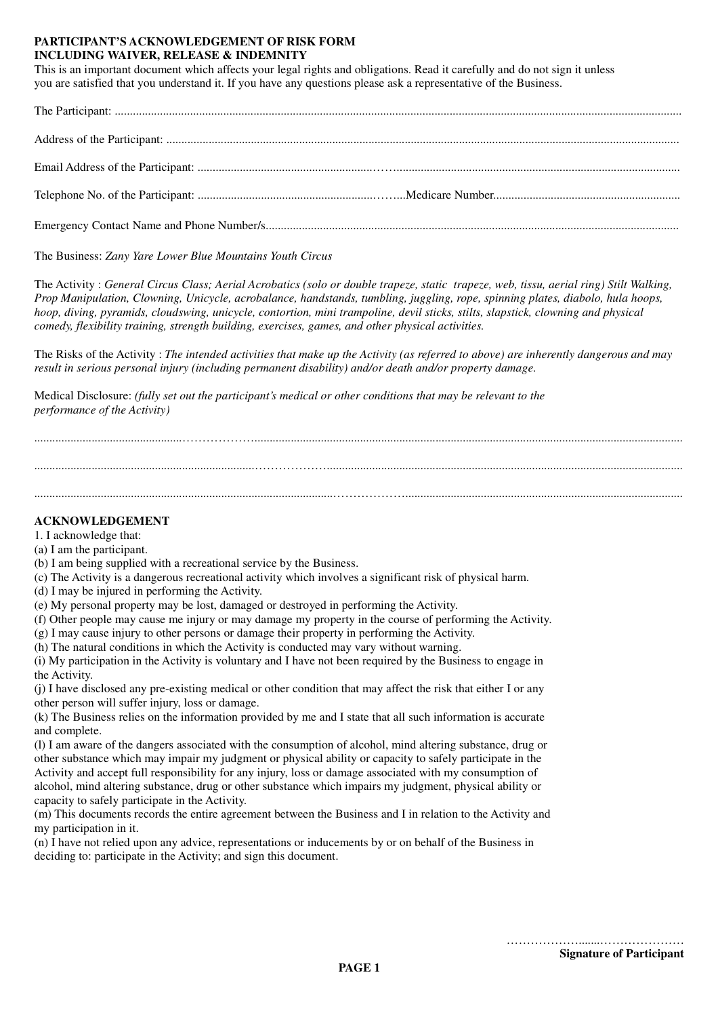# **PARTICIPANT'S ACKNOWLEDGEMENT OF RISK FORM INCLUDING WAIVER, RELEASE & INDEMNITY**

This is an important document which affects your legal rights and obligations. Read it carefully and do not sign it unless you are satisfied that you understand it. If you have any questions please ask a representative of the Business.

The Participant: ............................................................................................................................................................................................ Address of the Participant: .......................................................................................................................................................................... Email Address of the Participant: ..........................................................…….............................................................................................. Telephone No. of the Participant: ..........................................................……...Medicare Number.............................................................. Emergency Contact Name and Phone Number/s.........................................................................................................................................

The Business: *Zany Yare Lower Blue Mountains Youth Circus*

The Activity : *General Circus Class; Aerial Acrobatics (solo or double trapeze, static trapeze, web, tissu, aerial ring) Stilt Walking, Prop Manipulation, Clowning, Unicycle, acrobalance, handstands, tumbling, juggling, rope, spinning plates, diabolo, hula hoops, hoop, diving, pyramids, cloudswing, unicycle, contortion, mini trampoline, devil sticks, stilts, slapstick, clowning and physical comedy, flexibility training, strength building, exercises, games, and other physical activities.*

The Risks of the Activity : *The intended activities that make up the Activity (as referred to above) are inherently dangerous and may result in serious personal injury (including permanent disability) and/or death and/or property damage.*

Medical Disclosure: *(fully set out the participant's medical or other conditions that may be relevant to the performance of the Activity)*

.................................................……………….............................................................................................................................................. .........................................................................………………...................................................................................................................... ...................................................................................................………………............................................................................................

# **ACKNOWLEDGEMENT**

1. I acknowledge that:

- (a) I am the participant.
- (b) I am being supplied with a recreational service by the Business.
- (c) The Activity is a dangerous recreational activity which involves a significant risk of physical harm.
- (d) I may be injured in performing the Activity.
- (e) My personal property may be lost, damaged or destroyed in performing the Activity.
- (f) Other people may cause me injury or may damage my property in the course of performing the Activity.
- (g) I may cause injury to other persons or damage their property in performing the Activity.
- (h) The natural conditions in which the Activity is conducted may vary without warning.

(i) My participation in the Activity is voluntary and I have not been required by the Business to engage in the Activity.

(j) I have disclosed any pre-existing medical or other condition that may affect the risk that either I or any other person will suffer injury, loss or damage.

(k) The Business relies on the information provided by me and I state that all such information is accurate and complete.

(l) I am aware of the dangers associated with the consumption of alcohol, mind altering substance, drug or other substance which may impair my judgment or physical ability or capacity to safely participate in the Activity and accept full responsibility for any injury, loss or damage associated with my consumption of alcohol, mind altering substance, drug or other substance which impairs my judgment, physical ability or capacity to safely participate in the Activity.

(m) This documents records the entire agreement between the Business and I in relation to the Activity and my participation in it.

(n) I have not relied upon any advice, representations or inducements by or on behalf of the Business in deciding to: participate in the Activity; and sign this document.